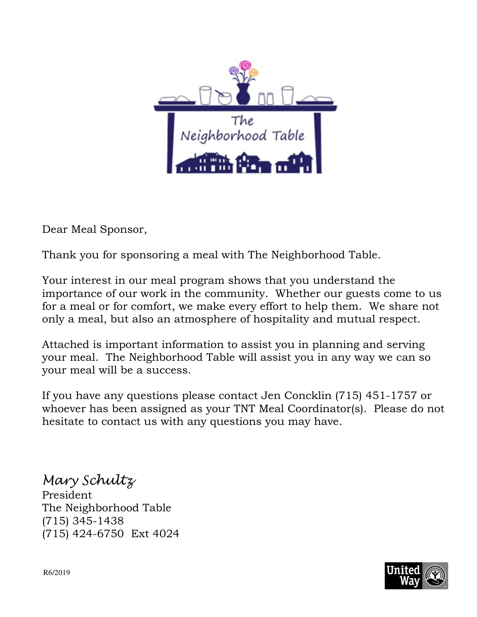

Dear Meal Sponsor,

Thank you for sponsoring a meal with The Neighborhood Table.

Your interest in our meal program shows that you understand the importance of our work in the community. Whether our guests come to us for a meal or for comfort, we make every effort to help them. We share not only a meal, but also an atmosphere of hospitality and mutual respect.

Attached is important information to assist you in planning and serving your meal. The Neighborhood Table will assist you in any way we can so your meal will be a success.

If you have any questions please contact Jen Concklin (715) 451-1757 or whoever has been assigned as your TNT Meal Coordinator(s). Please do not hesitate to contact us with any questions you may have.

Mary Schultz President The Neighborhood Table (715) 345-1438 (715) 424-6750 Ext 4024

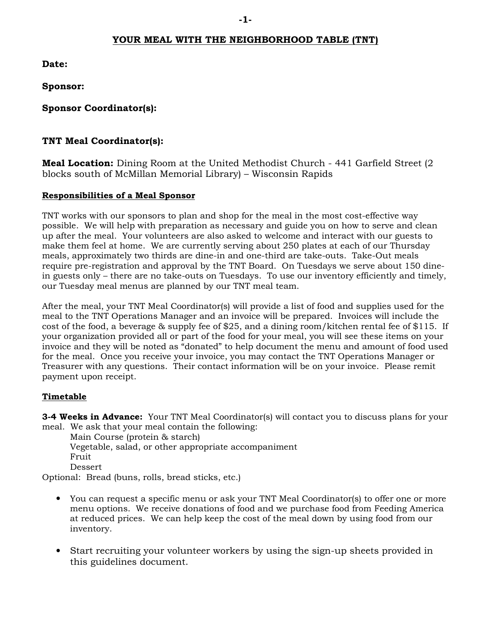#### **YOUR MEAL WITH THE NEIGHBORHOOD TABLE (TNT)**

**Date:**

**Sponsor:**

**Sponsor Coordinator(s):**

#### **TNT Meal Coordinator(s):**

**Meal Location:** Dining Room at the United Methodist Church - 441 Garfield Street (2 blocks south of McMillan Memorial Library) – Wisconsin Rapids

#### **Responsibilities of a Meal Sponsor**

TNT works with our sponsors to plan and shop for the meal in the most cost-effective way possible. We will help with preparation as necessary and guide you on how to serve and clean up after the meal. Your volunteers are also asked to welcome and interact with our guests to make them feel at home. We are currently serving about 250 plates at each of our Thursday meals, approximately two thirds are dine-in and one-third are take-outs. Take-Out meals require pre-registration and approval by the TNT Board. On Tuesdays we serve about 150 dinein guests only – there are no take-outs on Tuesdays. To use our inventory efficiently and timely, our Tuesday meal menus are planned by our TNT meal team.

After the meal, your TNT Meal Coordinator(s) will provide a list of food and supplies used for the meal to the TNT Operations Manager and an invoice will be prepared. Invoices will include the cost of the food, a beverage & supply fee of \$25, and a dining room/kitchen rental fee of \$115. If your organization provided all or part of the food for your meal, you will see these items on your invoice and they will be noted as "donated" to help document the menu and amount of food used for the meal. Once you receive your invoice, you may contact the TNT Operations Manager or Treasurer with any questions. Their contact information will be on your invoice. Please remit payment upon receipt.

#### **Timetable**

**3-4 Weeks in Advance:** Your TNT Meal Coordinator(s) will contact you to discuss plans for your meal. We ask that your meal contain the following:

 Main Course (protein & starch) Vegetable, salad, or other appropriate accompaniment Fruit Dessert

Optional: Bread (buns, rolls, bread sticks, etc.)

- You can request a specific menu or ask your TNT Meal Coordinator(s) to offer one or more menu options. We receive donations of food and we purchase food from Feeding America at reduced prices. We can help keep the cost of the meal down by using food from our inventory.
- Start recruiting your volunteer workers by using the sign-up sheets provided in this guidelines document.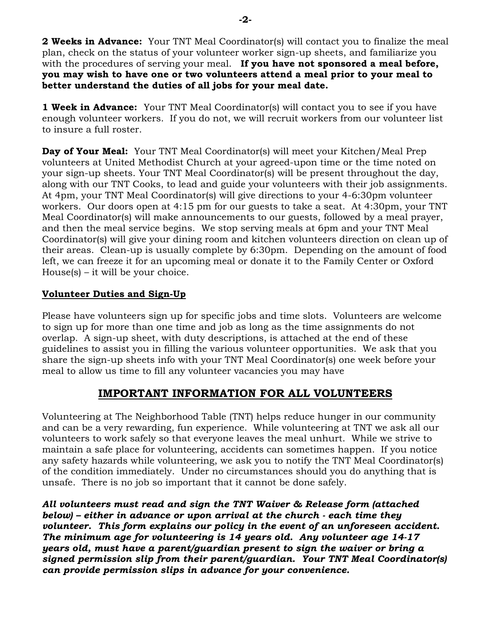**2 Weeks in Advance:** Your TNT Meal Coordinator(s) will contact you to finalize the meal plan, check on the status of your volunteer worker sign-up sheets, and familiarize you with the procedures of serving your meal. **If you have not sponsored a meal before, you may wish to have one or two volunteers attend a meal prior to your meal to better understand the duties of all jobs for your meal date.**

**1 Week in Advance:** Your TNT Meal Coordinator(s) will contact you to see if you have enough volunteer workers. If you do not, we will recruit workers from our volunteer list to insure a full roster.

**Day of Your Meal:** Your TNT Meal Coordinator(s) will meet your Kitchen/Meal Prep volunteers at United Methodist Church at your agreed-upon time or the time noted on your sign-up sheets. Your TNT Meal Coordinator(s) will be present throughout the day, along with our TNT Cooks, to lead and guide your volunteers with their job assignments. At 4pm, your TNT Meal Coordinator(s) will give directions to your 4-6:30pm volunteer workers. Our doors open at 4:15 pm for our guests to take a seat. At 4:30pm, your TNT Meal Coordinator(s) will make announcements to our guests, followed by a meal prayer, and then the meal service begins. We stop serving meals at 6pm and your TNT Meal Coordinator(s) will give your dining room and kitchen volunteers direction on clean up of their areas. Clean-up is usually complete by 6:30pm. Depending on the amount of food left, we can freeze it for an upcoming meal or donate it to the Family Center or Oxford  $House(s) - it will be your choice.$ 

#### **Volunteer Duties and Sign-Up**

Please have volunteers sign up for specific jobs and time slots. Volunteers are welcome to sign up for more than one time and job as long as the time assignments do not overlap. A sign-up sheet, with duty descriptions, is attached at the end of these guidelines to assist you in filling the various volunteer opportunities. We ask that you share the sign-up sheets info with your TNT Meal Coordinator(s) one week before your meal to allow us time to fill any volunteer vacancies you may have

## **IMPORTANT INFORMATION FOR ALL VOLUNTEERS**

Volunteering at The Neighborhood Table (TNT) helps reduce hunger in our community and can be a very rewarding, fun experience. While volunteering at TNT we ask all our volunteers to work safely so that everyone leaves the meal unhurt. While we strive to maintain a safe place for volunteering, accidents can sometimes happen. If you notice any safety hazards while volunteering, we ask you to notify the TNT Meal Coordinator(s) of the condition immediately. Under no circumstances should you do anything that is unsafe. There is no job so important that it cannot be done safely.

*All volunteers must read and sign the TNT Waiver & Release form (attached below) – either in advance or upon arrival at the church - each time they volunteer. This form explains our policy in the event of an unforeseen accident. The minimum age for volunteering is 14 years old. Any volunteer age 14-17 years old, must have a parent/guardian present to sign the waiver or bring a signed permission slip from their parent/guardian. Your TNT Meal Coordinator(s) can provide permission slips in advance for your convenience.*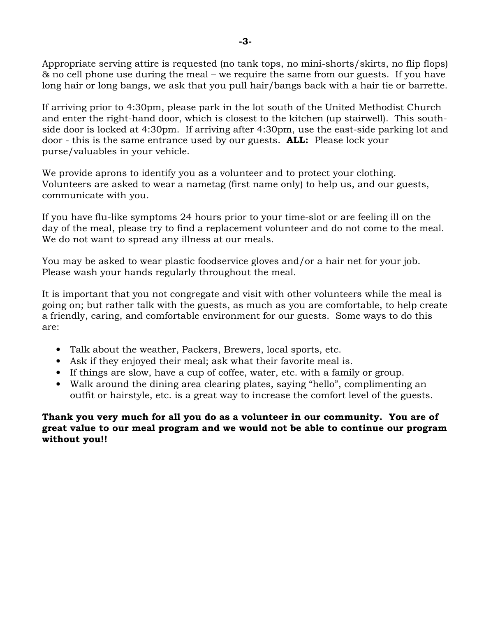Appropriate serving attire is requested (no tank tops, no mini-shorts/skirts, no flip flops) & no cell phone use during the meal – we require the same from our guests. If you have long hair or long bangs, we ask that you pull hair/bangs back with a hair tie or barrette.

If arriving prior to 4:30pm, please park in the lot south of the United Methodist Church and enter the right-hand door, which is closest to the kitchen (up stairwell). This southside door is locked at 4:30pm. If arriving after 4:30pm, use the east-side parking lot and door - this is the same entrance used by our guests. **ALL:** Please lock your purse/valuables in your vehicle.

We provide aprons to identify you as a volunteer and to protect your clothing. Volunteers are asked to wear a nametag (first name only) to help us, and our guests, communicate with you.

If you have flu-like symptoms 24 hours prior to your time-slot or are feeling ill on the day of the meal, please try to find a replacement volunteer and do not come to the meal. We do not want to spread any illness at our meals.

You may be asked to wear plastic foodservice gloves and/or a hair net for your job. Please wash your hands regularly throughout the meal.

It is important that you not congregate and visit with other volunteers while the meal is going on; but rather talk with the guests, as much as you are comfortable, to help create a friendly, caring, and comfortable environment for our guests. Some ways to do this are:

- Talk about the weather, Packers, Brewers, local sports, etc.
- Ask if they enjoyed their meal; ask what their favorite meal is.
- If things are slow, have a cup of coffee, water, etc. with a family or group.
- Walk around the dining area clearing plates, saying "hello", complimenting an outfit or hairstyle, etc. is a great way to increase the comfort level of the guests.

#### **Thank you very much for all you do as a volunteer in our community. You are of great value to our meal program and we would not be able to continue our program without you!!**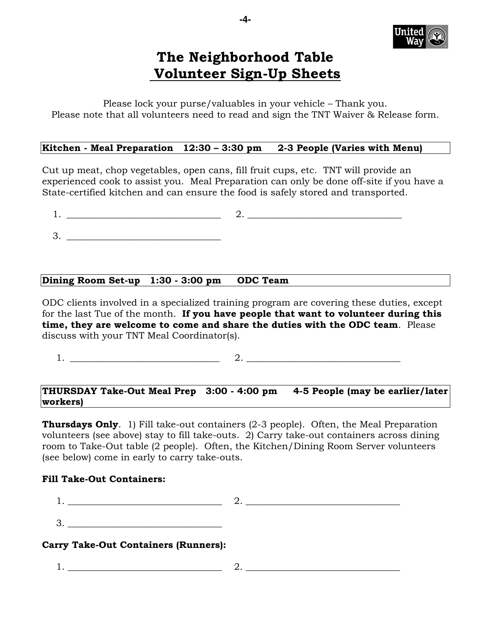

# **The Neighborhood Table Volunteer Sign-Up Sheets**

Please lock your purse/valuables in your vehicle – Thank you. Please note that all volunteers need to read and sign the TNT Waiver & Release form.

#### **Kitchen - Meal Preparation 12:30 – 3:30 pm 2-3 People (Varies with Menu)**

Cut up meat, chop vegetables, open cans, fill fruit cups, etc. TNT will provide an experienced cook to assist you. Meal Preparation can only be done off-site if you have a State-certified kitchen and can ensure the food is safely stored and transported.

1. \_\_\_\_\_\_\_\_\_\_\_\_\_\_\_\_\_\_\_\_\_\_\_\_\_\_\_\_\_\_\_\_\_ 2. \_\_\_\_\_\_\_\_\_\_\_\_\_\_\_\_\_\_\_\_\_\_\_\_\_\_\_\_\_\_\_\_\_

3. \_\_\_\_\_\_\_\_\_\_\_\_\_\_\_\_\_\_\_\_\_\_\_\_\_\_\_\_\_\_\_\_\_

#### **Dining Room Set-up 1:30 - 3:00 pm ODC Team**

ODC clients involved in a specialized training program are covering these duties, except for the last Tue of the month. **If you have people that want to volunteer during this time, they are welcome to come and share the duties with the ODC team**. Please discuss with your TNT Meal Coordinator(s).

1.  $\frac{2.}{2}$ 

#### **THURSDAY Take-Out Meal Prep 3:00 - 4:00 pm 4-5 People (may be earlier/later workers)**

**Thursdays Only**. 1) Fill take-out containers (2-3 people). Often, the Meal Preparation volunteers (see above) stay to fill take-outs. 2) Carry take-out containers across dining room to Take-Out table (2 people). Often, the Kitchen/Dining Room Server volunteers (see below) come in early to carry take-outs.

#### **Fill Take-Out Containers:**

 $1.$  2.

 $3.$ 

#### **Carry Take-Out Containers (Runners):**

1. \_\_\_\_\_\_\_\_\_\_\_\_\_\_\_\_\_\_\_\_\_\_\_\_\_\_\_\_\_\_\_\_\_ 2. \_\_\_\_\_\_\_\_\_\_\_\_\_\_\_\_\_\_\_\_\_\_\_\_\_\_\_\_\_\_\_\_\_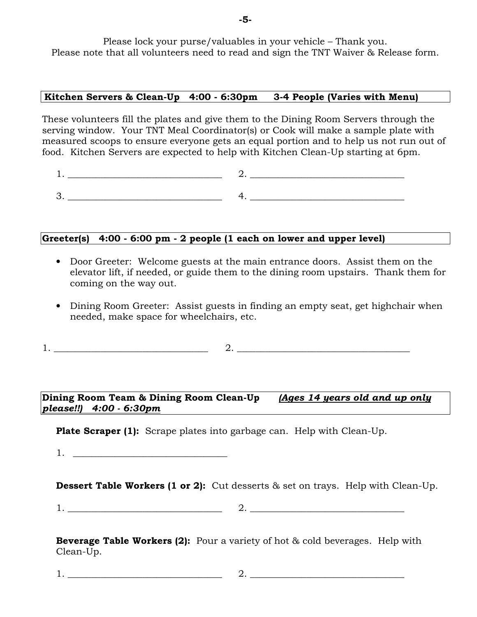Please lock your purse/valuables in your vehicle – Thank you. Please note that all volunteers need to read and sign the TNT Waiver & Release form.

#### **Kitchen Servers & Clean-Up 4:00 - 6:30pm 3-4 People (Varies with Menu)**

These volunteers fill the plates and give them to the Dining Room Servers through the serving window. Your TNT Meal Coordinator(s) or Cook will make a sample plate with measured scoops to ensure everyone gets an equal portion and to help us not run out of food. Kitchen Servers are expected to help with Kitchen Clean-Up starting at 6pm.

1. \_\_\_\_\_\_\_\_\_\_\_\_\_\_\_\_\_\_\_\_\_\_\_\_\_\_\_\_\_\_\_\_\_ 2. \_\_\_\_\_\_\_\_\_\_\_\_\_\_\_\_\_\_\_\_\_\_\_\_\_\_\_\_\_\_\_\_\_ 3. \_\_\_\_\_\_\_\_\_\_\_\_\_\_\_\_\_\_\_\_\_\_\_\_\_\_\_\_\_\_\_\_\_ 4. \_\_\_\_\_\_\_\_\_\_\_\_\_\_\_\_\_\_\_\_\_\_\_\_\_\_\_\_\_\_\_\_\_

### **Greeter(s) 4:00 - 6:00 pm - 2 people (1 each on lower and upper level)**

- Door Greeter: Welcome guests at the main entrance doors. Assist them on the elevator lift, if needed, or guide them to the dining room upstairs. Thank them for coming on the way out.
- Dining Room Greeter: Assist guests in finding an empty seat, get highchair when needed, make space for wheelchairs, etc.

1.  $2.$ 

**Dining Room Team & Dining Room Clean-Up** *(Ages 14 years old and up only please!!) 4:00 - 6:30pm*

**Plate Scraper (1):** Scrape plates into garbage can. Help with Clean-Up.

1.  $\Box$ 

**Dessert Table Workers (1 or 2):** Cut desserts & set on trays. Help with Clean-Up.

1.  $\frac{1}{2}$   $\frac{1}{2}$   $\frac{1}{2}$   $\frac{1}{2}$   $\frac{1}{2}$   $\frac{1}{2}$   $\frac{1}{2}$   $\frac{1}{2}$   $\frac{1}{2}$   $\frac{1}{2}$   $\frac{1}{2}$   $\frac{1}{2}$   $\frac{1}{2}$   $\frac{1}{2}$   $\frac{1}{2}$   $\frac{1}{2}$   $\frac{1}{2}$   $\frac{1}{2}$   $\frac{1}{2}$   $\frac{1}{2}$   $\frac{1}{2}$   $\frac{1}{2}$ 

**Beverage Table Workers (2):** Pour a variety of hot & cold beverages. Help with Clean-Up.

1. \_\_\_\_\_\_\_\_\_\_\_\_\_\_\_\_\_\_\_\_\_\_\_\_\_\_\_\_\_\_\_\_\_ 2. \_\_\_\_\_\_\_\_\_\_\_\_\_\_\_\_\_\_\_\_\_\_\_\_\_\_\_\_\_\_\_\_\_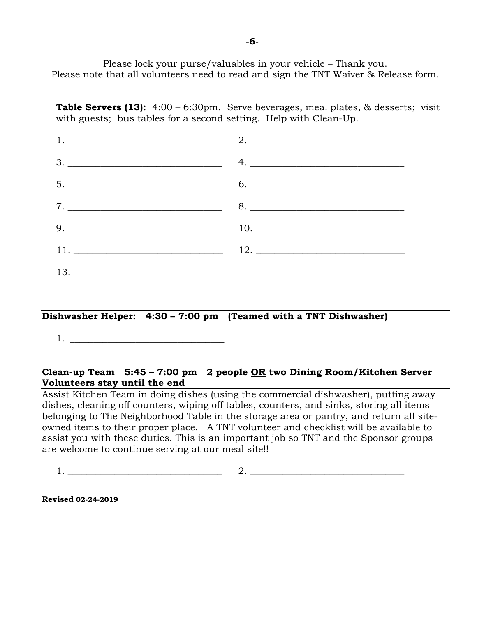Please lock your purse/valuables in your vehicle – Thank you. Please note that all volunteers need to read and sign the TNT Waiver & Release form.

**Table Servers (13):** 4:00 – 6:30pm. Serve beverages, meal plates, & desserts; visit with guests; bus tables for a second setting. Help with Clean-Up.

| $5.$ 6.   |
|-----------|
| $7.$ $8.$ |
|           |
|           |
|           |

#### **Dishwasher Helper: 4:30 – 7:00 pm (Teamed with a TNT Dishwasher)**

 $1.$ 

#### **Clean-up Team 5:45 – 7:00 pm 2 people OR two Dining Room/Kitchen Server Volunteers stay until the end**

Assist Kitchen Team in doing dishes (using the commercial dishwasher), putting away dishes, cleaning off counters, wiping off tables, counters, and sinks, storing all items belonging to The Neighborhood Table in the storage area or pantry, and return all siteowned items to their proper place. A TNT volunteer and checklist will be available to assist you with these duties. This is an important job so TNT and the Sponsor groups are welcome to continue serving at our meal site!!

1. \_\_\_\_\_\_\_\_\_\_\_\_\_\_\_\_\_\_\_\_\_\_\_\_\_\_\_\_\_\_\_\_\_ 2. \_\_\_\_\_\_\_\_\_\_\_\_\_\_\_\_\_\_\_\_\_\_\_\_\_\_\_\_\_\_\_\_\_

**Revised 02-24-2019**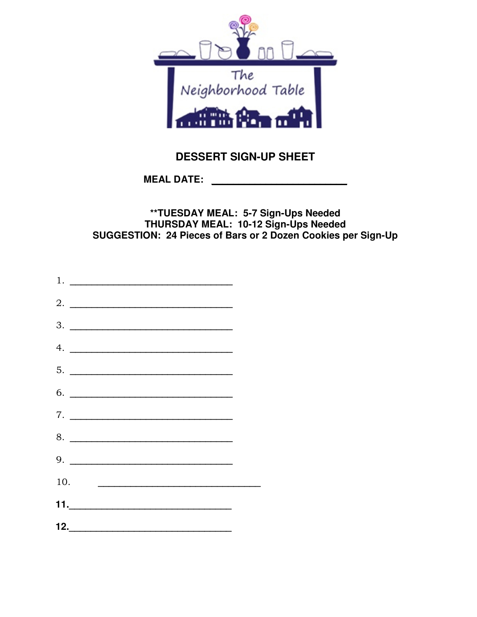

# **DESSERT SIGN-UP SHEET**

MEAL DATE: the contract of the contract of the contract of the contract of the contract of the contract of the contract of the contract of the contract of the contract of the contract of the contract of the contract of the

### \*\*TUESDAY MEAL: 5-7 Sign-Ups Needed THURSDAY MEAL: 10-12 Sign-Ups Needed SUGGESTION: 24 Pieces of Bars or 2 Dozen Cookies per Sign-Up

 $\overline{\phantom{a}}$  2.  $3.$  $7.$ 8. 10.  $\qquad \qquad$ 11.  $\blacksquare$  $\begin{array}{c|c} \hline \textbf{12.} & \textbf{12.} & \textbf{12.} & \textbf{12.} \\ \hline \end{array}$